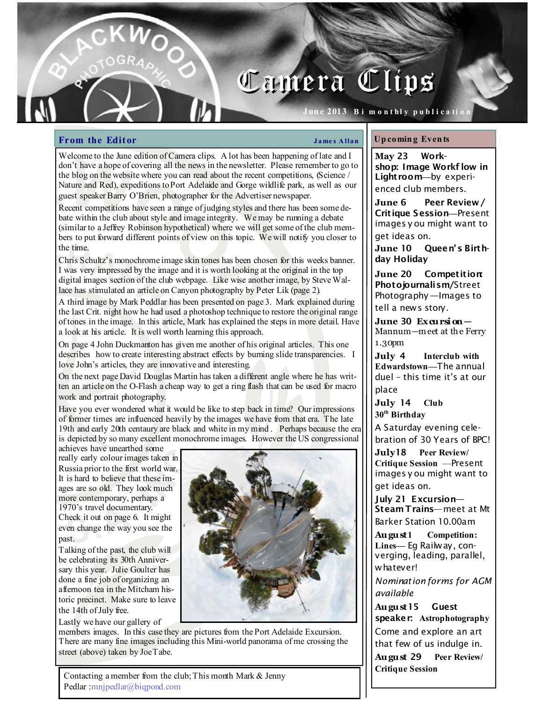# Camera Clips

 ${\tt June~2013~\;Bi~m}$  on thly publication  $\parallel$ 

### **From the Editor**  $\qquad \qquad \qquad$  James Allan

Welcome to the June edition of Camera clips. A lot has been happening of late and I don't have a hope of covering all the news in the newsletter. Please remember to go to the blog on the website where you can read about the recent competitions, (Science / Nature and Red), expeditions to Port Adelaide and Gorge wildlife park, as well as our guest speaker Barry O'Brien, photographer for the Advertiser newspaper.

Recent competitions have seen a range of judging styles and there has been some debate within the club about style and image integrity. We may be running a debate (similar to a Jeffrey Robinson hypothetical) where we will get some of the club members to put forward different points of view on this topic. We will notify you closer to the time.

Chris Schultz's monochrome image skin tones has been chosen for this weeks banner. I was very impressed by the image and it is worth looking at the original in the top digital images section of the club webpage. Like wise another image, by Steve Wallace has stimulated an article on Canyon photography by Peter Lik (page 2).

A third image by Mark Peddlar has been presented on page 3. Mark explained during the last Crit. night how he had used a photoshop technique to restore the original range of tones in the image. In this article, Mark has explained the steps in more detail. Have a look at his article. It is well worth learning this approach.

On page 4 John Duckmanton has given me another of his original articles. This one describes how to create interesting abstract effects by burning slide transparencies. I love John's articles, they are innovative and interesting.

On the next page David Douglas Martin has taken a different angle where he has written an article on the O-Flash a cheap way to get a ring flash that can be used for macro work and portrait photography.

Have you ever wondered what it would be like to step back in time? Our impressions of former times are influenced heavily by the images we have from that era. The late 19th and early 20th centaury are black and white in my mind . Perhaps because the era is depicted by so many excellent monochrome images. However the US congressional

achieves have unearthed some really early colour images taken in Russia prior to the first world war. It is hard to believe that these images are so old. They look much more contemporary, perhaps a 1970's travel documentary.

Check it out on page 6. It might even change the way you see the past.

Talking of the past, the club will be celebrating its 30th Anniversary this year. Julie Goulter has done a fine job of organizing an afternoon tea in the Mitcham historic precinct. Make sure to leave the 14th of July free.

Lastly we have our gallery of



members images. In this case they are pictures from the Port Adelaide Excursion. There are many fine images including this Mini-world panorama of me crossing the street (above) taken by Joe Tabe.

### Up comin g Even ts

May 23 Workshop: Image Workf low in Lightroom—by experienced club members.

June 6 Peer Review/ Critique Session—Present images y ou might want to get ideas on.

June 10 Queen's Birthday Holiday

June 20 Competition: Photojournalism/Street Photography —Images to tell a news story.

June 30  $Ex$  cursion  $-$ Mannum—m eet at the Ferry 1.30pm

July 4 Interclub with Edwardstown—The annual duel – this time it's at our place

July 14 Club 30<sup>th</sup> Birthday

A Saturday evening cele-

bration of 30 Years of BPC!

July18 Peer Review/ Critique Session —Present images y ou might want to get ideas on.

July 21 Excursion— Steam Trains—meet at Mt Barker Station 10.00am

August1 Competition: Lines— Eg Railway, converging, leading, parallel, whatever!

Nomination forms for AGM available

August15 Guest speaker: Astrophotography Come and explore an art that few of us indulge in.

August 29 Peer Review/ Critique Session

Contacting a member from the club; This month Mark & Jenny Pedlar :mnjpedlar@biqpond.com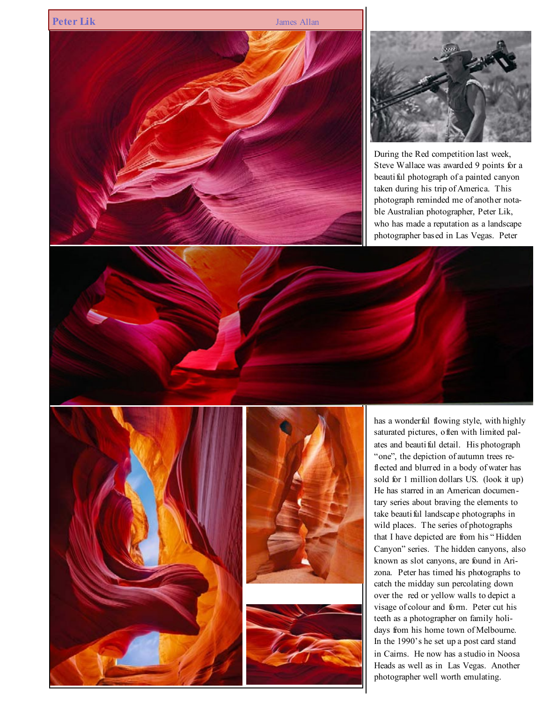



During the Red competition last week, Steve Wallace was awarded 9 points for a beauti ful photograph of a painted canyon taken during his trip of America. This photograph reminded me of another notable Australian photographer, Peter Lik, who has made a reputation as a landscape photographer based in Las Vegas. Peter







has a wonderful flowing style, with highly saturated pictures, often with limited palates and beautiful detail. His photograph "one", the depiction of autumn trees reflected and blurred in a body of water has sold for 1 million dollars US. (look it up) He has starred in an American documentary series about braving the elements to take beautiful landscape photographs in wild places. The series of photographs that I have depicted are from his " Hidden Canyon" series. The hidden canyons, also known as slot canyons, are found in Arizona. Peter has timed his photographs to catch the midday sun percolating down over the red or yellow walls to depict a visage of colour and form. Peter cut his teeth as a photographer on family holidays from his home town of Melbourne. In the 1990's he set up a post card stand in Cairns. He now has a studio in Noosa Heads as well as in Las Vegas. Another photographer well worth emulating.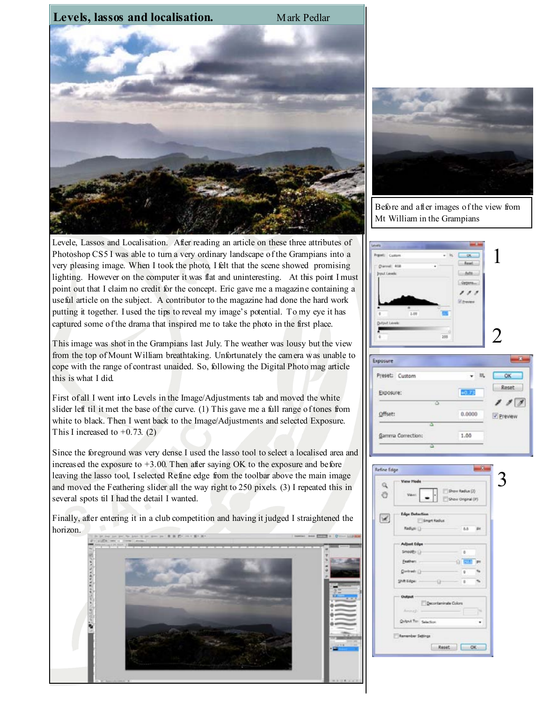

Levele, Lassos and Localisation. After reading an article on these three attributes of Photoshop CS5 I was able to turn a very ordinary landscape of the Grampians into a very pleasing image. When I took the photo, I felt that the scene showed promising lighting. However on the computer it was flat and uninteresting. At this point I must point out that I claim no credit for the concept. Eric gave me a magazine containing a useful article on the subject. A contributor to the magazine had done the hard work putting it together. I used the tips to reveal my image's potential. To my eye it has captured some of the drama that inspired me to take the photo in the first place.

This image was shot in the Grampians last July. The weather was lousy but the view from the top of Mount William breathtaking. Unfortunately the camera was unable to cope with the range of contrast unaided. So, following the Digital Photo mag article this is what I did.

First of all I went into Levels in the Image/Adjustments tab and moved the white slider left til it met the base of the curve. (1) This gave me a full range of tones from white to black. Then I went back to the Image/Adjustments and selected Exposure. This I increased to  $+0.73$ . (2)

Since the foreground was very dense I used the lasso tool to select a localised area and increased the exposure to  $+3.00$ . Then after saying OK to the exposure and before leaving the lasso tool, I selected Refine edge from the toolbar above the main image and moved the Feathering slider all the way right to 250 pixels. (3) I repeated this in several spots til I had the detail I wanted.

Finally, after entering it in a club competition and having it judged I straightened the horizon.





Before and after images of the view from Mt William in the Grampians





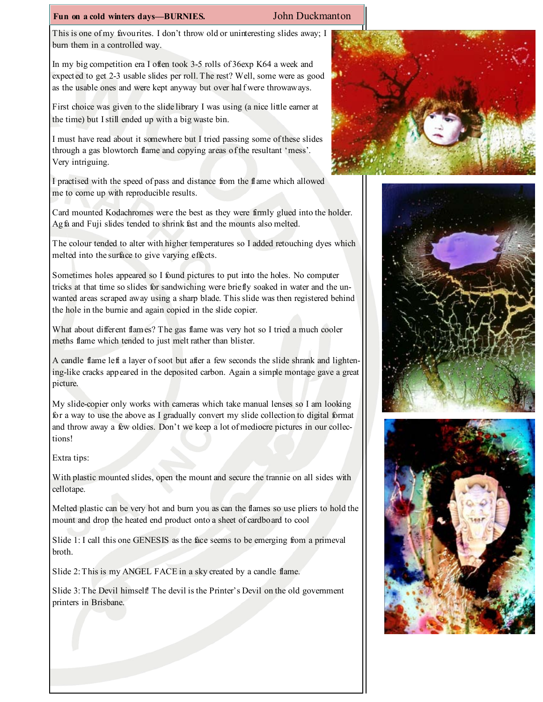### Fun on a cold winters days—BURNIES. John Duckmanton

This is one of my favourites. I don't throw old or uninteresting slides away; I burn them in a controlled way.

In my big competition era I often took 3-5 rolls of 36exp K64 a week and expected to get 2-3 usable slides per roll. The rest? Well, some were as good as the usable ones and were kept anyway but over half were throwaways.

First choice was given to the slide library I was using (a nice little earner at the time) but I still ended up with a big waste bin.

I must have read about it somewhere but I tried passing some of these slides through a gas blowtorch flame and copying areas of the resultant 'mess'. Very intriguing.

I practised with the speed of pass and distance from the flame which allowed me to come up with reproducible results.

Card mounted Kodachromes were the best as they were firmly glued into the holder. Agfa and Fuji slides tended to shrink fast and the mounts also melted.

The colour tended to alter with higher temperatures so I added retouching dyes which melted into the surface to give varying effects.

Sometimes holes appeared so I found pictures to put into the holes. No computer tricks at that time so slides for sandwiching were briefly soaked in water and the unwanted areas scraped away using a sharp blade. This slide was then registered behind the hole in the burnie and again copied in the slide copier.

What about different flames? The gas flame was very hot so I tried a much cooler meths flame which tended to just melt rather than blister.

A candle flame left a layer of soot but after a few seconds the slide shrank and lightening-like cracks appeared in the deposited carbon. Again a simple montage gave a great picture.

My slide-copier only works with cameras which take manual lenses so I am looking for a way to use the above as I gradually convert my slide collection to digital format and throw away a few oldies. Don't we keep a lot of mediocre pictures in our collections!

Extra tips:

With plastic mounted slides, open the mount and secure the trannie on all sides with cellotape.

Melted plastic can be very hot and burn you as can the flames so use pliers to hold the mount and drop the heated end product onto a sheet of cardboard to cool

Slide 1: I call this one GENESIS as the face seems to be emerging from a primeval broth.

Slide 2: This is my ANGEL FACE in a sky created by a candle flame.

Slide 3: The Devil himself! The devil is the Printer's Devil on the old government printers in Brisbane.





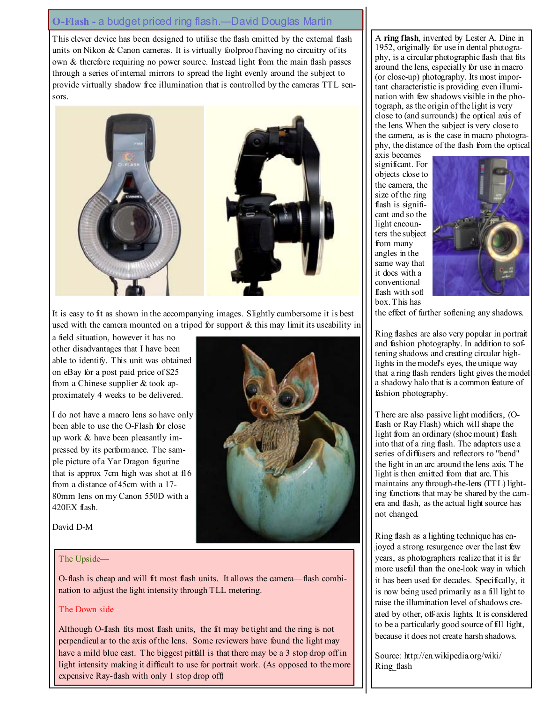# O-Flash - a budget priced ring flash.—David Douglas Martin

This clever device has been designed to utilise the flash emitted by the external flash units on Nikon & Canon cameras. It is virtually foolproof having no circuitry of its own & therefore requiring no power source. Instead light from the main flash passes through a series of internal mirrors to spread the light evenly around the subject to provide virtually shadow free illumination that is controlled by the cameras TTL sensors.



It is easy to fit as shown in the accompanying images. Slightly cumbersome it is best used with the camera mounted on a tripod for support  $\&$  this may limit its useability in

a field situation, however it has no other disadvantages that I have been able to identify. This unit was obtained on eBay for a post paid price of \$25 from a Chinese supplier & took approximately 4 weeks to be delivered.

I do not have a macro lens so have only been able to use the O-Flash for close up work & have been pleasantly impressed by its performance. The sample picture of a Yar Dragon figurine that is approx 7cm high was shot at f16 from a distance of 45cm with a 17- 80mm lens on my Canon 550D with a 420EX flash.

David D-M



### The Upside—

O-flash is cheap and will fit most flash units. It allows the camera—flash combination to adjust the light intensity through TLL metering.

### The Down side—

Although O-flash fits most flash units, the fit may be tight and the ring is not perpendicular to the axis of the lens. Some reviewers have found the light may have a mild blue cast. The biggest pitfall is that there may be a 3 stop drop off in light intensity making it difficult to use for portrait work. (As opposed to the more expensive Ray-flash with only 1 stop drop off)

A ring flash, invented by Lester A. Dine in 1952, originally for use in dental photography, is a circular photographic flash that fits around the lens, especially for use in macro (or close-up) photography. Its most important characteristic is providing even illumination with few shadows visible in the photograph, as the origin of the light is very close to (and surrounds) the optical axis of the lens. When the subject is very close to the camera, as is the case in macro photography, the distance of the flash from the optical

axis becomes significant. For objects close to the camera, the size of the ring flash is significant and so the light encounters the subject from many angles in the same way that it does with a conventional flash with soft box. This has



the effect of further softening any shadows.

Ring flashes are also very popular in portrait and fashion photography. In addition to softening shadows and creating circular highlights in the model's eyes, the unique way that a ring flash renders light gives the model a shadowy halo that is a common feature of fashion photography.

There are also passive light modifiers, (Oflash or Ray Flash) which will shape the light from an ordinary (shoe mount) flash into that of a ring flash. The adapters use a series of diffusers and reflectors to "bend" the light in an arc around the lens axis. The light is then emitted from that arc. This maintains any through-the-lens (TTL) lighting functions that may be shared by the camera and flash, as the actual light source has not changed.

Ring flash as a lighting technique has enjoyed a strong resurgence over the last few years, as photographers realize that it is far more useful than the one-look way in which it has been used for decades. Specifically, it is now being used primarily as a fill light to raise the illumination level of shadows created by other, off-axis lights. It is considered to be a particularly good source of fill light, because it does not create harsh shadows.

Source: http://en.wikipedia.org/wiki/ Ring\_flash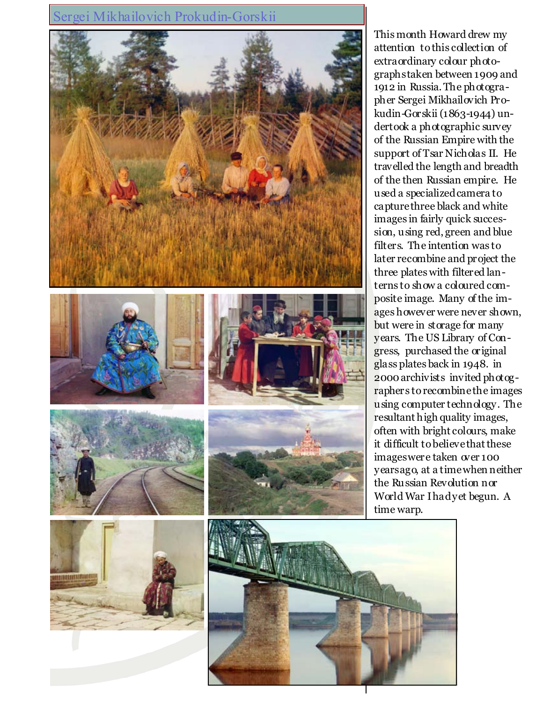# Sergei Mikhailovich Prokudin-Gorskii



This month Howard drew my attention to this collection of extraordinary colour photographs taken between 1909 and 1912 in Russia. The photographer Sergei Mikhailovich Prokudin-Gorskii (1863-1944) undertook a photographic survey of the Russian Empire with the support of Tsar Nicholas II. He travelled the length and breadth of the then Russian empire. He used a specialized camera to capture three black and white images in fairly quick succession, using red, green and blue filters. The intention was to later recombine and project the three plates with filtered lanterns to show a coloured composite image. Many of the images however were never shown, but were in storage for many years. The US Library of Congress, purchased the original glass plates back in 1948. in 2000 archivists invited photographers to recombine the images using computer technology. The resultant high quality images, often with bright colours, make it difficult to believe that these images were taken over 100 years ago, at a time when neither the Russian Revolution nor World War I had yet begun. A time warp.